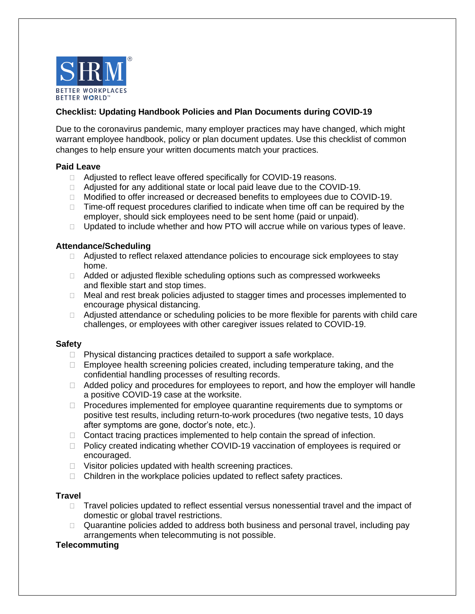

# **Checklist: Updating Handbook Policies and Plan Documents during COVID-19**

Due to the coronavirus pandemic, many employer practices may have changed, which might warrant employee handbook, policy or plan document updates. Use this checklist of common changes to help ensure your written documents match your practices.

## **Paid Leave**

- □ Adjusted to reflect leave offered specifically for COVID-19 reasons.
- □ Adjusted for any additional state or local paid leave due to the COVID-19.
- □ Modified to offer increased or decreased benefits to employees due to COVID-19.
- $\Box$  Time-off request procedures clarified to indicate when time off can be required by the employer, should sick employees need to be sent home (paid or unpaid).
- $\Box$  Updated to include whether and how PTO will accrue while on various types of leave.

## **Attendance/Scheduling**

- □ Adjusted to reflect relaxed attendance policies to encourage sick employees to stay home.
- □ Added or adjusted flexible scheduling options such as compressed workweeks and flexible start and stop times.
- $\Box$  Meal and rest break policies adjusted to stagger times and processes implemented to encourage physical distancing.
- □ Adjusted attendance or scheduling policies to be more flexible for parents with child care challenges, or employees with other caregiver issues related to COVID-19.

## **Safety**

- $\Box$  Physical distancing practices detailed to support a safe workplace.
- $\Box$  Employee health screening policies created, including temperature taking, and the confidential handling processes of resulting records.
- $\Box$  Added policy and procedures for employees to report, and how the employer will handle a positive COVID-19 case at the worksite.
- $\Box$  Procedures implemented for employee quarantine requirements due to symptoms or positive test results, including return-to-work procedures (two negative tests, 10 days after symptoms are gone, doctor's note, etc.).
- $\Box$  Contact tracing practices implemented to help contain the spread of infection.
- □ Policy created indicating whether COVID-19 vaccination of employees is required or encouraged.
- $\Box$  Visitor policies updated with health screening practices.
- $\Box$  Children in the workplace policies updated to reflect safety practices.

## **Travel**

- $\Box$  Travel policies updated to reflect essential versus nonessential travel and the impact of domestic or global travel restrictions.
- □ Quarantine policies added to address both business and personal travel, including pay arrangements when telecommuting is not possible.

## **Telecommuting**